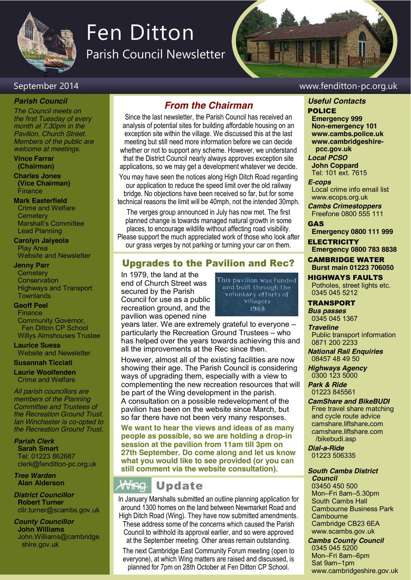

# Fen Ditton

Parish Council Newsletter

# September 2014 www.fenditton-pc.org.uk

### *Parish Council*

*The Council meets on the first Tuesday of every month at 7.30pm in the Pavilion, Church Street. Members of the public are welcome at meetings.*

**Vince Farrar (Chairman)**

**Charles Jones (Vice Chairman)** Finance

**Mark Easterfield** Crime and Welfare **Cemetery** Marshall's Committee Lead Planning

**Carolyn Jaiyeola** Play Area Website and Newsletter

### **Jenny Parr**

**Cemetery Conservation** Highways and Transport **Townlands** 

### **Geoff Peel**

**Finance** Community Governor, Fen Ditton CP School Willys Almshouses Trustee

**Laurice Suess** Website and Newsletter

### **Susannah Ticciati**

**Laurie Woolfenden** Crime and Welfare

*All parish councillors are members of the Planning Committee and Trustees of the Recreation Ground Trust. Ian Winchester is co-opted to the Recreation Ground Trust.*

*Parish Clerk* **Sarah Smart** Tel: 01223 862687 clerk@fenditton-pc.org.uk

*Tree Warden* **Alan Alderson**

*District Councillor* **Robert Turner** cllr.turner@scambs.gov.uk

*County Councillor* **John Williams** John.Williams@cambridge shire.gov.uk

# *From the Chairman*

Since the last newsletter, the Parish Council has received an analysis of potential sites for building affordable housing on an exception site within the village. We discussed this at the last meeting but still need more information before we can decide whether or not to support any scheme. However, we understand that the District Council nearly always approves exception site applications, so we may get a development whatever we decide.

You may have seen the notices along High Ditch Road regarding our application to reduce the speed limit over the old railway bridge. No objections have been received so far, but for some technical reasons the limit will be 40mph, not the intended 30mph.

The verges group announced in July has now met. The first planned change is towards managed natural growth in some places, to encourage wildlife without affecting road visibility. Please support the much appreciated work of those who look after our grass verges by not parking or turning your car on them.

# Upgrades to the Pavilion and Rec?

In 1979, the land at the end of Church Street was secured by the Parish Council for use as a public recreation ground, and the pavilion was opened nine

This pavilion was funded and built through the voluntary efforts of villagers 1988

years later. We are extremely grateful to everyone – particularly the Recreation Ground Trustees – who has helped over the years towards achieving this and all the improvements at the Rec since then.

However, almost all of the existing facilities are now showing their age. The Parish Council is considering ways of upgrading them, especially with a view to complementing the new recreation resources that will be part of the Wing development in the parish. A consultation on a possible redevelopment of the pavilion has been on the website since March, but so far there have not been very many responses.

**We want to hear the views and ideas of as many people as possible, so we are holding a drop-in session at the pavilion from 11am till 3pm on 27th September. Do come along and let us know what you would like to see provided (or you can still comment via the website consultation).**

### Wing Update

In January Marshalls submitted an outline planning application for around 1300 homes on the land between Newmarket Road and High Ditch Road (Wing). They have now submitted amendments. These address some of the concerns which caused the Parish Council to withhold its approval earlier, and so were approved at the September meeting. Other areas remain outstanding.

The next Cambridge East Community Forum meeting (open to everyone), at which Wing matters are raised and discussed, is planned for 7pm on 28th October at Fen Ditton CP School.

# *Useful Contacts*

POLICE **Emergency 999 Non-emergency 101 www.cambs.police.uk www.cambridgeshire pcc.gov.uk**

*Local PCSO*  **John Coppard** Tel: 101 ext. 7615

### *E-cops*

Local crime info email list www.ecops.org.uk *Cambs Crimestoppers*

Freefone 0800 555 111 GAS

**Emergency 0800 111 999**

**ELECTRICITY Emergency 0800 783 8838**

CAMBRIDGE WATER **Burst main 01223 706050**

HIGHWAYS FAULTS Potholes, street lights etc. 0345 045 5212

TRANSPORT *Bus passes* 0345 045 1367

*Traveline*

Public transport information 0871 200 2233

*National Rail Enquiries* 08457 48 49 50

*Highways Agency* 0300 123 5000

*Park & Ride* 01223 845561

*CamShare and BikeBUDI* Free travel share matching and cycle route advice camshare.liftshare**.**com camshare.liftshare.com /bikebudi.asp

*Dial-a-Ride* 01223 506335

### *South Cambs District Council*

03450 450 500 Mon–Fri 8am–5.30pm South Cambs Hall Cambourne Business Park **Cambourne** Cambridge CB23 6EA www.scambs.gov.uk

## *Cambs County Council*

0345 045 5200 Mon–Fri 8am–6pm Sat 9am–1pm www.cambridgeshire.gov.uk